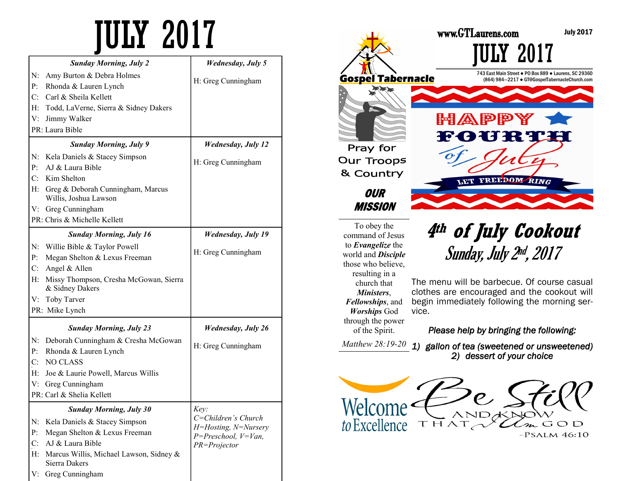| <b>Sunday Morning, July 2</b>                                      | <b>Wednesday, July 5</b>                          |
|--------------------------------------------------------------------|---------------------------------------------------|
| N:<br>Amy Burton & Debra Holmes                                    | H: Greg Cunningham                                |
| $P$ :<br>Rhonda & Lauren Lynch                                     |                                                   |
| Carl & Sheila Kellett<br>C <sup>2</sup>                            |                                                   |
| H: Todd, LaVerne, Sierra & Sidney Dakers                           |                                                   |
| Jimmy Walker<br>V:                                                 |                                                   |
| PR: Laura Bible                                                    |                                                   |
| <b>Sunday Morning, July 9</b>                                      | <b>Wednesday</b> , July 12                        |
| Kela Daniels & Stacey Simpson<br>N:                                |                                                   |
| AJ & Laura Bible<br>P <sub>1</sub>                                 | H: Greg Cunningham                                |
| C: Kim Shelton                                                     |                                                   |
| H: Greg & Deborah Cunningham, Marcus<br>Willis, Joshua Lawson      |                                                   |
| V: Greg Cunningham                                                 |                                                   |
| PR: Chris & Michelle Kellett                                       |                                                   |
| <b>Sunday Morning, July 16</b>                                     | <b>Wednesday, July 19</b>                         |
| N: Willie Bible & Taylor Powell                                    |                                                   |
| P <sub>1</sub><br>Megan Shelton & Lexus Freeman                    | H: Greg Cunningham                                |
| $C$ : Angel & Allen                                                |                                                   |
| $H$ :<br>Missy Thompson, Cresha McGowan, Sierra<br>& Sidney Dakers |                                                   |
| V: Toby Tarver                                                     |                                                   |
| PR: Mike Lynch                                                     |                                                   |
| <b>Sunday Morning, July 23</b>                                     | <b>Wednesday, July 26</b>                         |
| Deborah Cunningham & Cresha McGowan<br>N:                          |                                                   |
| Rhonda & Lauren Lynch<br>$P_{\cdot}$                               | H: Greg Cunningham                                |
| NO CLASS<br>$C_{\cdot}$                                            |                                                   |
| H: Joe & Laurie Powell, Marcus Willis                              |                                                   |
| Greg Cunningham<br>V:                                              |                                                   |
| PR: Carl & Shelia Kellett                                          |                                                   |
| <b>Sunday Morning, July 30</b>                                     | Key:                                              |
| Kela Daniels & Stacey Simpson<br>N:                                | C=Children's Church                               |
| P:<br>Megan Shelton & Lexus Freeman                                | H=Hosting, N=Nursery<br>$P = Preschool, V = Van,$ |
| C:<br>AJ & Laura Bible                                             | PR=Projector                                      |
| Marcus Willis, Michael Lawson, Sidney &<br>H:<br>Sierra Dakers     |                                                   |
| Greg Cunningham<br>V:                                              |                                                   |



 $-PSALM$  46:10